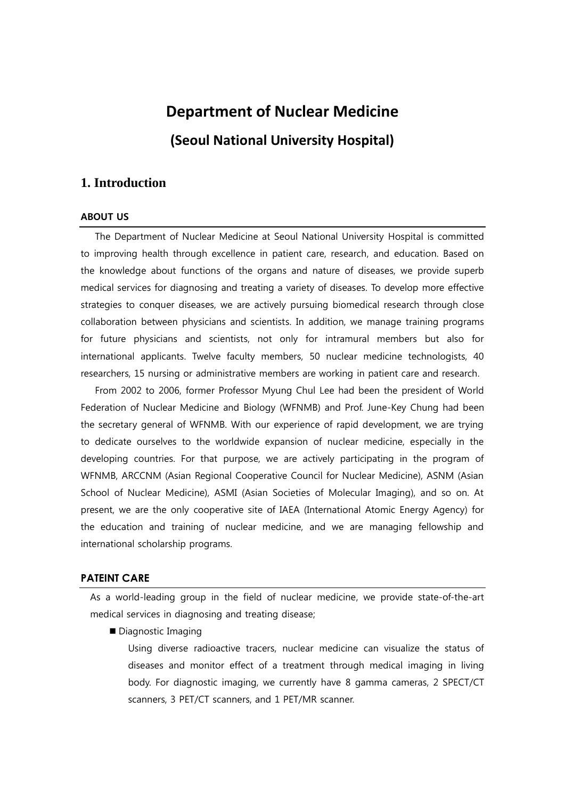# **Department of Nuclear Medicine (Seoul National University Hospital)**

## **1. Introduction**

### ABOUT US

The Department of Nuclear Medicine at Seoul National University Hospital is committed to improving health through excellence in patient care, research, and education. Based on the knowledge about functions of the organs and nature of diseases, we provide superb medical services for diagnosing and treating a variety of diseases. To develop more effective strategies to conquer diseases, we are actively pursuing biomedical research through close collaboration between physicians and scientists. In addition, we manage training programs for future physicians and scientists, not only for intramural members but also for international applicants. Twelve faculty members, 50 nuclear medicine technologists, 40 researchers, 15 nursing or administrative members are working in patient care and research.

From 2002 to 2006, former Professor Myung Chul Lee had been the president of World Federation of Nuclear Medicine and Biology (WFNMB) and Prof. June-Key Chung had been the secretary general of WFNMB. With our experience of rapid development, we are trying to dedicate ourselves to the worldwide expansion of nuclear medicine, especially in the developing countries. For that purpose, we are actively participating in the program of WFNMB, ARCCNM (Asian Regional Cooperative Council for Nuclear Medicine), ASNM (Asian School of Nuclear Medicine), ASMI (Asian Societies of Molecular Imaging), and so on. At present, we are the only cooperative site of IAEA (International Atomic Energy Agency) for the education and training of nuclear medicine, and we are managing fellowship and international scholarship programs.

### **PATEINT CARE**

As a world-leading group in the field of nuclear medicine, we provide state-of-the-art medical services in diagnosing and treating disease;

Diagnostic Imaging

Using diverse radioactive tracers, nuclear medicine can visualize the status of diseases and monitor effect of a treatment through medical imaging in living body. For diagnostic imaging, we currently have 8 gamma cameras, 2 SPECT/CT scanners, 3 PET/CT scanners, and 1 PET/MR scanner.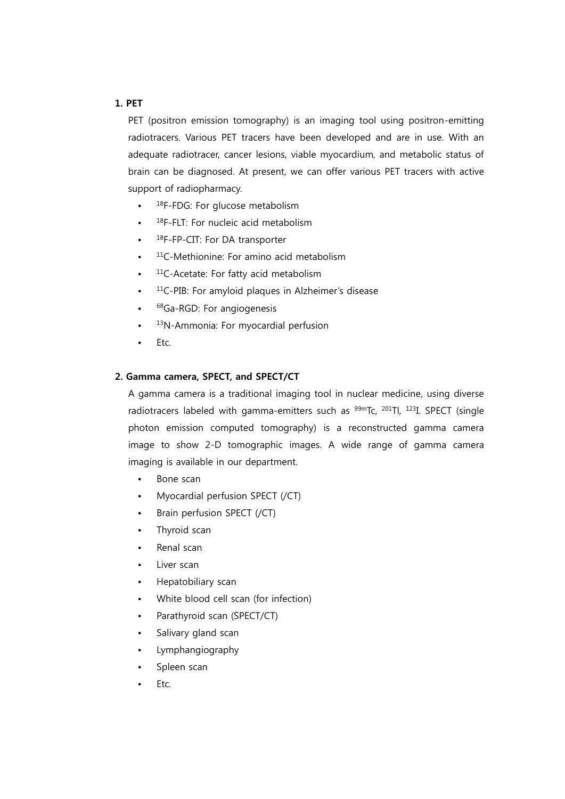### 1. PET

PET (positron emission tomography) is an imaging tool using positron-emitting radiotracers. Various PET tracers have been developed and are in use. With an adequate radiotracer, cancer lesions, viable myocardium, and metabolic status of brain can be diagnosed. At present, we can offer various PET tracers with active support of radiopharmacy.

- 18F-FDG: For glucose metabolism
- 18F-FLT: For nucleic acid metabolism
- <sup>18</sup>F-FP-CIT: For DA transporter
- $11C$ -Methionine: For amino acid metabolism
- <sup>11</sup>C-Acetate: For fatty acid metabolism
- <sup>11</sup>C-PIB: For amyloid plaques in Alzheimer's disease
- <sup>68</sup>Ga-RGD: For angiogenesis
- <sup>13</sup>N-Ammonia: For myocardial perfusion
- Etc.

### 2. Gamma camera, SPECT, and SPECT/CT

A gamma camera is a traditional imaging tool in nuclear medicine, using diverse radiotracers labeled with gamma-emitters such as <sup>99m</sup>Tc, <sup>201</sup>Tl, <sup>123</sup>I. SPECT (single photon emission computed tomography) is a reconstructed gamma camera image to show 2-D tomographic images. A wide range of gamma camera imaging is available in our department.

- Bone scan
- Myocardial perfusion SPECT (/CT)
- Brain perfusion SPECT (/CT)
- Thyroid scan
- Renal scan
- Liver scan
- Hepatobiliary scan
- White blood cell scan (for infection)
- Parathyroid scan (SPECT/CT)
- Salivary gland scan
- Lymphangiography
- Spleen scan
- Ftc.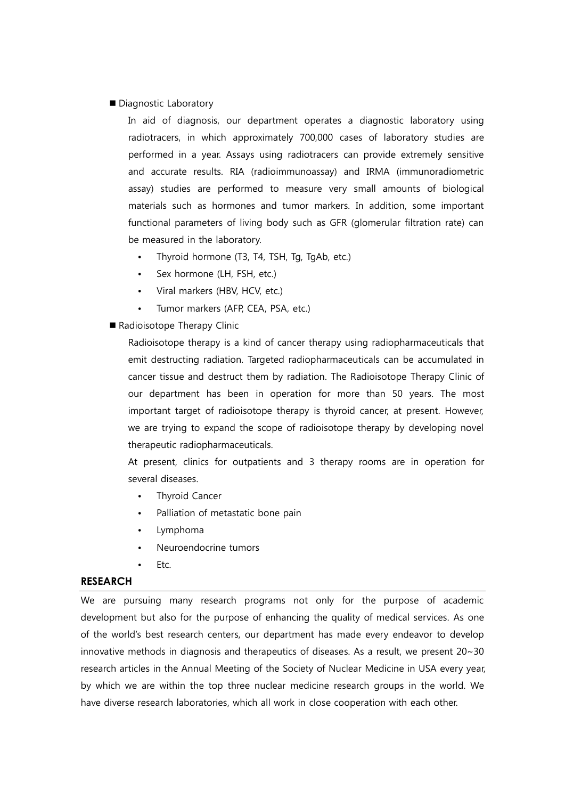Diagnostic Laboratory

In aid of diagnosis, our department operates a diagnostic laboratory using radiotracers, in which approximately 700,000 cases of laboratory studies are performed in a year. Assays using radiotracers can provide extremely sensitive and accurate results. RIA (radioimmunoassay) and IRMA (immunoradiometric assay) studies are performed to measure very small amounts of biological materials such as hormones and tumor markers. In addition, some important functional parameters of living body such as GFR (glomerular filtration rate) can be measured in the laboratory.

- Thyroid hormone (T3, T4, TSH, Tg, TgAb, etc.)
- Sex hormone (LH, FSH, etc.)
- Viral markers (HBV, HCV, etc.)
- Tumor markers (AFP, CEA, PSA, etc.)
- Radioisotope Therapy Clinic

Radioisotope therapy is a kind of cancer therapy using radiopharmaceuticals that emit destructing radiation. Targeted radiopharmaceuticals can be accumulated in cancer tissue and destruct them by radiation. The Radioisotope Therapy Clinic of our department has been in operation for more than 50 years. The most important target of radioisotope therapy is thyroid cancer, at present. However, we are trying to expand the scope of radioisotope therapy by developing novel therapeutic radiopharmaceuticals.

At present, clinics for outpatients and 3 therapy rooms are in operation for several diseases.

- **Thyroid Cancer**
- Palliation of metastatic bone pain
- Lymphoma
- Neuroendocrine tumors
- Etc.

### **RESEARCH**

We are pursuing many research programs not only for the purpose of academic development but also for the purpose of enhancing the quality of medical services. As one of the world's best research centers, our department has made every endeavor to develop innovative methods in diagnosis and therapeutics of diseases. As a result, we present  $20 \sim 30$ research articles in the Annual Meeting of the Society of Nuclear Medicine in USA every year, by which we are within the top three nuclear medicine research groups in the world. We have diverse research laboratories, which all work in close cooperation with each other.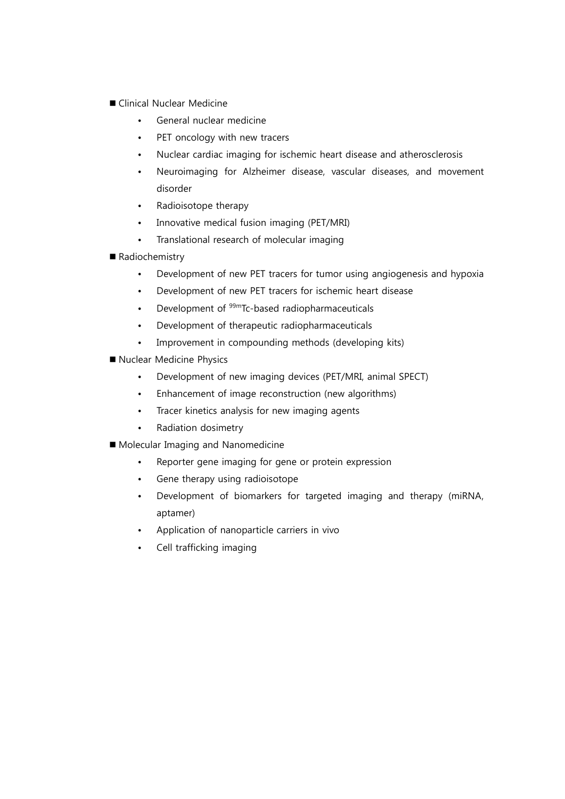- Clinical Nuclear Medicine
	- General nuclear medicine
	- PET oncology with new tracers
	- Nuclear cardiac imaging for ischemic heart disease and atherosclerosis
	- Neuroimaging for Alzheimer disease, vascular diseases, and movement disorder
	- Radioisotope therapy
	- Innovative medical fusion imaging (PET/MRI)
	- Translational research of molecular imaging
- Radiochemistry
	- Development of new PET tracers for tumor using angiogenesis and hypoxia
	- Development of new PET tracers for ischemic heart disease
	- Development of 99mTc-based radiopharmaceuticals
	- Development of therapeutic radiopharmaceuticals
	- Improvement in compounding methods (developing kits)
- Nuclear Medicine Physics
	- Development of new imaging devices (PET/MRI, animal SPECT)
	- Enhancement of image reconstruction (new algorithms)
	- Tracer kinetics analysis for new imaging agents
	- Radiation dosimetry
- **Molecular Imaging and Nanomedicine** 
	- Reporter gene imaging for gene or protein expression
	- Gene therapy using radioisotope
	- Development of biomarkers for targeted imaging and therapy (miRNA, aptamer)
	- Application of nanoparticle carriers in vivo
	- Cell trafficking imaging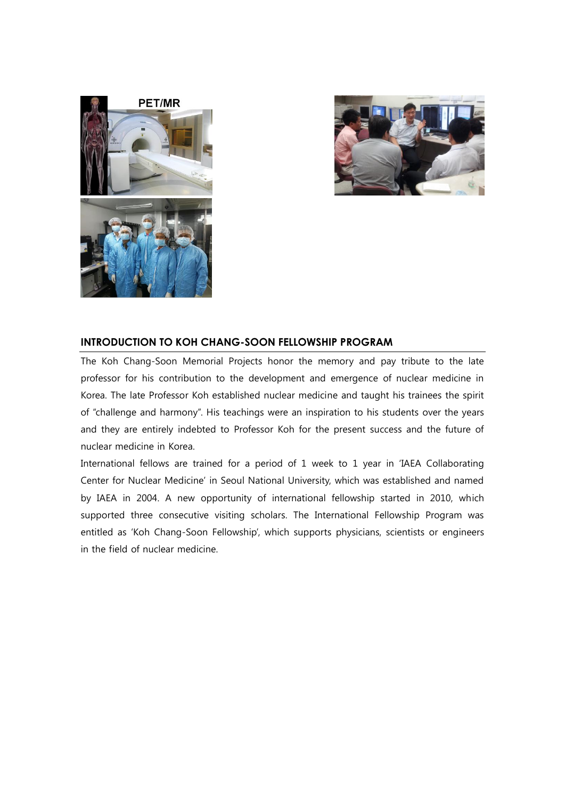



### **INTRODUCTION TO KOH CHANG-SOON FELLOWSHIP PROGRAM**

The Koh Chang-Soon Memorial Projects honor the memory and pay tribute to the late professor for his contribution to the development and emergence of nuclear medicine in Korea. The late Professor Koh established nuclear medicine and taught his trainees the spirit of "challenge and harmony". His teachings were an inspiration to his students over the years and they are entirely indebted to Professor Koh for the present success and the future of nuclear medicine in Korea.

International fellows are trained for a period of 1 week to 1 year in 'IAEA Collaborating Center for Nuclear Medicine' in Seoul National University, which was established and named by IAEA in 2004. A new opportunity of international fellowship started in 2010, which supported three consecutive visiting scholars. The International Fellowship Program was entitled as 'Koh Chang-Soon Fellowship', which supports physicians, scientists or engineers in the field of nuclear medicine.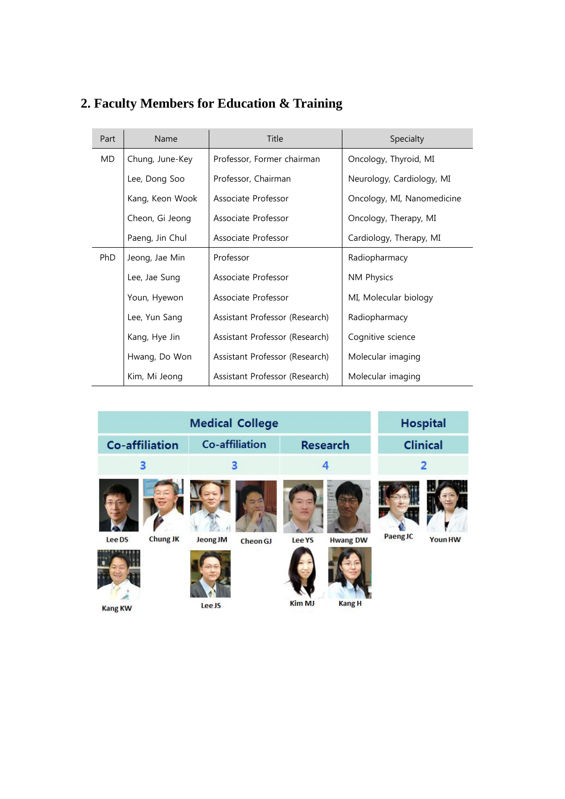| Part | Name            | Title                          | Specialty                  |
|------|-----------------|--------------------------------|----------------------------|
| MD.  | Chung, June-Key | Professor, Former chairman     | Oncology, Thyroid, MI      |
|      | Lee, Dong Soo   | Professor, Chairman            | Neurology, Cardiology, MI  |
|      | Kang, Keon Wook | Associate Professor            | Oncology, MI, Nanomedicine |
|      | Cheon, Gi Jeong | Associate Professor            | Oncology, Therapy, MI      |
|      | Paeng, Jin Chul | Associate Professor            | Cardiology, Therapy, MI    |
| PhD  | Jeong, Jae Min  | Professor                      | Radiopharmacy              |
|      | Lee, Jae Sung   | Associate Professor            | NM Physics                 |
|      | Youn, Hyewon    | Associate Professor            | MI, Molecular biology      |
|      | Lee, Yun Sang   | Assistant Professor (Research) | Radiopharmacy              |
|      | Kang, Hye Jin   | Assistant Professor (Research) | Cognitive science          |
|      | Hwang, Do Won   | Assistant Professor (Research) | Molecular imaging          |
|      | Kim, Mi Jeong   | Assistant Professor (Research) | Molecular imaging          |

## **2. Faculty Members for Education & Training**

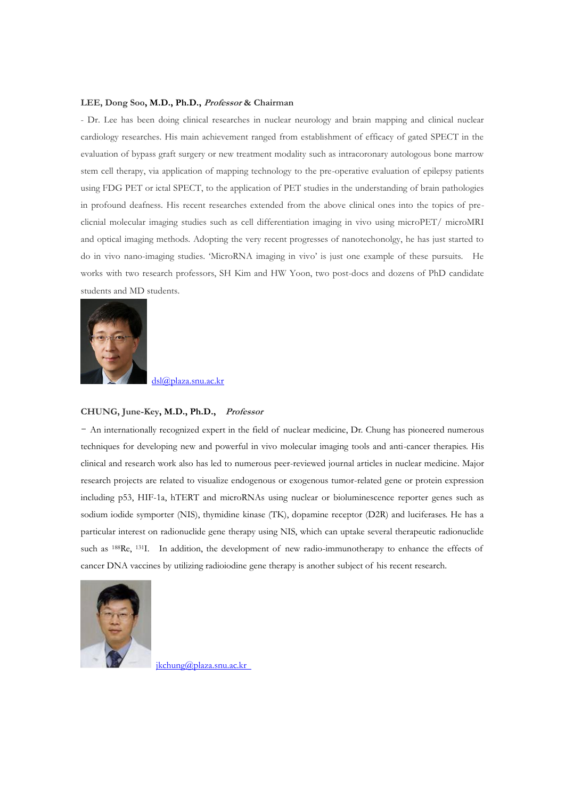#### **LEE, Dong Soo, M.D., Ph.D., Professor & Chairman**

- Dr. Lee has been doing clinical researches in nuclear neurology and brain mapping and clinical nuclear cardiology researches. His main achievement ranged from establishment of efficacy of gated SPECT in the evaluation of bypass graft surgery or new treatment modality such as intracoronary autologous bone marrow stem cell therapy, via application of mapping technology to the pre-operative evaluation of epilepsy patients using FDG PET or ictal SPECT, to the application of PET studies in the understanding of brain pathologies in profound deafness. His recent researches extended from the above clinical ones into the topics of preclicnial molecular imaging studies such as cell differentiation imaging in vivo using microPET/ microMRI and optical imaging methods. Adopting the very recent progresses of nanotechonolgy, he has just started to do in vivo nano-imaging studies. 'MicroRNA imaging in vivo' is just one example of these pursuits. He works with two research professors, SH Kim and HW Yoon, two post-docs and dozens of PhD candidate students and MD students.



[dsl@plaza.snu.ac.kr](mailto:dsl@plaza.snu.ac.kr)

#### **CHUNG, June-Key, M.D., Ph.D., Professor**

- An internationally recognized expert in the field of nuclear medicine, Dr. Chung has pioneered numerous techniques for developing new and powerful in vivo molecular imaging tools and anti-cancer therapies. His clinical and research work also has led to numerous peer-reviewed journal articles in nuclear medicine. Major research projects are related to visualize endogenous or exogenous tumor-related gene or protein expression including p53, HIF-1a, hTERT and microRNAs using nuclear or bioluminescence reporter genes such as sodium iodide symporter (NIS), thymidine kinase (TK), dopamine receptor (D2R) and luciferases. He has a particular interest on radionuclide gene therapy using NIS, which can uptake several therapeutic radionuclide such as <sup>188</sup>Re, <sup>131</sup>I. In addition, the development of new radio-immunotherapy to enhance the effects of cancer DNA vaccines by utilizing radioiodine gene therapy is another subject of his recent research.



[jkchung@plaza.snu.ac.kr](mailto:jkchung@plaza.snu.ac.kr)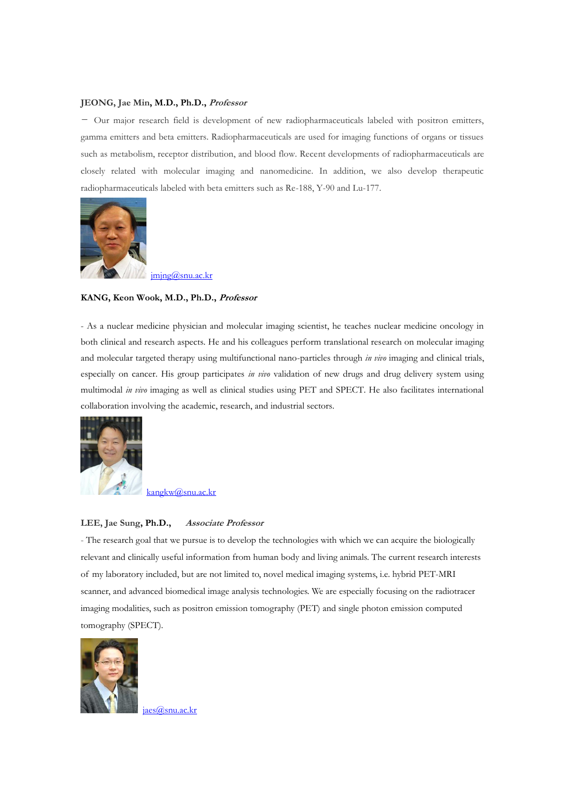#### **JEONG, Jae Min, M.D., Ph.D., Professor**

- Our major research field is development of new radiopharmaceuticals labeled with positron emitters, gamma emitters and beta emitters. Radiopharmaceuticals are used for imaging functions of organs or tissues such as metabolism, receptor distribution, and blood flow. Recent developments of radiopharmaceuticals are closely related with molecular imaging and nanomedicine. In addition, we also develop therapeutic radiopharmaceuticals labeled with beta emitters such as Re-188, Y-90 and Lu-177.



[jmjng@snu.ac.kr](mailto:jmjng@snu.ac.kr)

#### **KANG, Keon Wook, M.D., Ph.D., Professor**

- As a nuclear medicine physician and molecular imaging scientist, he teaches nuclear medicine oncology in both clinical and research aspects. He and his colleagues perform translational research on molecular imaging and molecular targeted therapy using multifunctional nano-particles through *in vivo* imaging and clinical trials, especially on cancer. His group participates *in vivo* validation of new drugs and drug delivery system using multimodal *in vivo* imaging as well as clinical studies using PET and SPECT. He also facilitates international collaboration involving the academic, research, and industrial sectors.



[kangkw@snu.ac.kr](mailto:kangkw@snu.ac.kr)

#### **LEE, Jae Sung, Ph.D., Associate Professor**

- The research goal that we pursue is to develop the technologies with which we can acquire the biologically relevant and clinically useful information from human body and living animals. The current research interests of my laboratory included, but are not limited to, novel medical imaging systems, i.e. hybrid PET-MRI scanner, and advanced biomedical image analysis technologies. We are especially focusing on the radiotracer imaging modalities, such as positron emission tomography (PET) and single photon emission computed tomography (SPECT).



[jaes@snu.ac.kr](mailto:jaes@snu.ac.kr)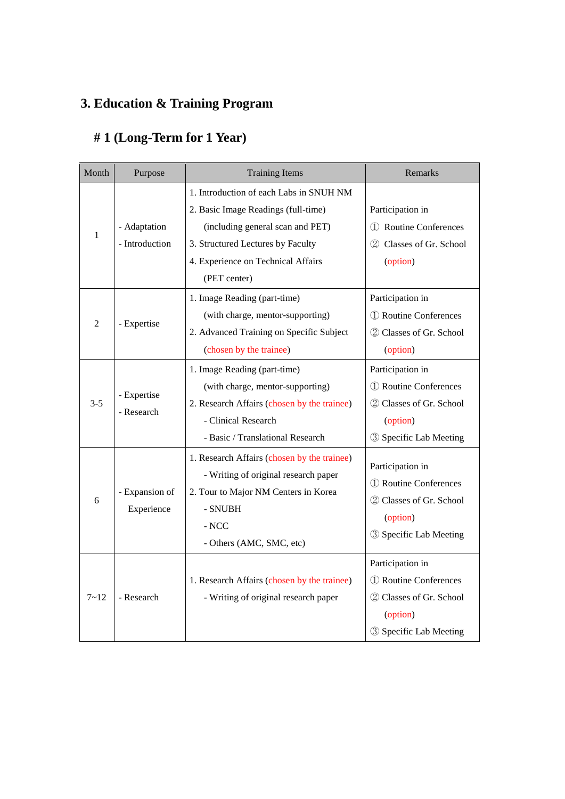## **3. Education & Training Program**

## **# 1 (Long-Term for 1 Year)**

| Month          | Purpose                        | <b>Training Items</b>                                                                                                                                                                                         | Remarks                                                                                                    |  |
|----------------|--------------------------------|---------------------------------------------------------------------------------------------------------------------------------------------------------------------------------------------------------------|------------------------------------------------------------------------------------------------------------|--|
| $\mathbf{1}$   | - Adaptation<br>- Introduction | 1. Introduction of each Labs in SNUH NM<br>2. Basic Image Readings (full-time)<br>(including general scan and PET)<br>3. Structured Lectures by Faculty<br>4. Experience on Technical Affairs<br>(PET center) | Participation in<br>1 Routine Conferences<br>2 Classes of Gr. School<br>(option)                           |  |
| $\overline{2}$ | - Expertise                    | 1. Image Reading (part-time)<br>(with charge, mentor-supporting)<br>2. Advanced Training on Specific Subject<br>(chosen by the trainee)                                                                       | Participation in<br>1 Routine Conferences<br>2 Classes of Gr. School<br>(option)                           |  |
| $3 - 5$        | - Expertise<br>- Research      | 1. Image Reading (part-time)<br>(with charge, mentor-supporting)<br>2. Research Affairs (chosen by the trainee)<br>- Clinical Research<br>- Basic / Translational Research                                    | Participation in<br>1 Routine Conferences<br>2 Classes of Gr. School<br>(option)<br>3 Specific Lab Meeting |  |
| 6              | - Expansion of<br>Experience   | 1. Research Affairs (chosen by the trainee)<br>- Writing of original research paper<br>2. Tour to Major NM Centers in Korea<br>- SNUBH<br>$-$ NCC<br>- Others (AMC, SMC, etc)                                 | Participation in<br>1 Routine Conferences<br>2 Classes of Gr. School<br>(option)<br>3 Specific Lab Meeting |  |
| $7 - 12$       | - Research                     | 1. Research Affairs (chosen by the trainee)<br>- Writing of original research paper                                                                                                                           | Participation in<br>1 Routine Conferences<br>2 Classes of Gr. School<br>(option)<br>3 Specific Lab Meeting |  |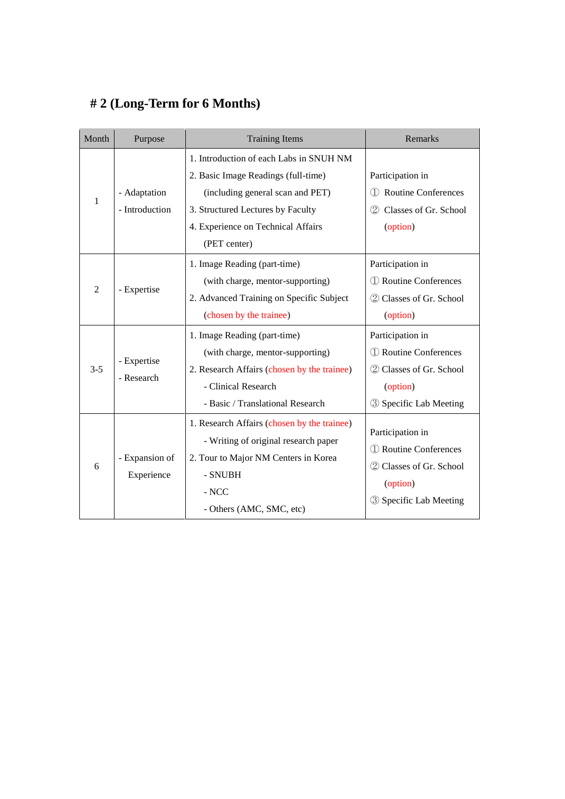## **# 2 (Long-Term for 6 Months)**

| Month          | Purpose                   | <b>Training Items</b>                       | Remarks                                               |  |
|----------------|---------------------------|---------------------------------------------|-------------------------------------------------------|--|
| 1              |                           | 1. Introduction of each Labs in SNUH NM     |                                                       |  |
|                |                           | 2. Basic Image Readings (full-time)         | Participation in<br><b>Routine Conferences</b><br>(1) |  |
|                | - Adaptation              | (including general scan and PET)            |                                                       |  |
|                | - Introduction            | 3. Structured Lectures by Faculty           | Classes of Gr. School<br>(2)                          |  |
|                |                           | 4. Experience on Technical Affairs          | (option)                                              |  |
|                |                           | (PET center)                                |                                                       |  |
| $\overline{2}$ |                           | 1. Image Reading (part-time)                | Participation in                                      |  |
|                | - Expertise               | (with charge, mentor-supporting)            | <b>1</b> Routine Conferences                          |  |
|                |                           | 2. Advanced Training on Specific Subject    | 2 Classes of Gr. School                               |  |
|                |                           | (chosen by the trainee)                     | (option)                                              |  |
|                | - Expertise<br>- Research | 1. Image Reading (part-time)                | Participation in                                      |  |
|                |                           | (with charge, mentor-supporting)            | 1 Routine Conferences<br>2 Classes of Gr. School      |  |
| $3 - 5$        |                           | 2. Research Affairs (chosen by the trainee) |                                                       |  |
|                |                           | - Clinical Research                         | (option)                                              |  |
|                |                           | - Basic / Translational Research            | <b>3</b> Specific Lab Meeting                         |  |
| 6              |                           | 1. Research Affairs (chosen by the trainee) |                                                       |  |
|                |                           | - Writing of original research paper        | Participation in<br>1 Routine Conferences             |  |
|                | - Expansion of            | 2. Tour to Major NM Centers in Korea        |                                                       |  |
|                | Experience                | - SNUBH                                     | 2 Classes of Gr. School                               |  |
|                |                           | $\mathbf{\textcolor{blue}{\mathbf{-}NCC}}$  | (option)                                              |  |
|                |                           | - Others (AMC, SMC, etc)                    | <b>3</b> Specific Lab Meeting                         |  |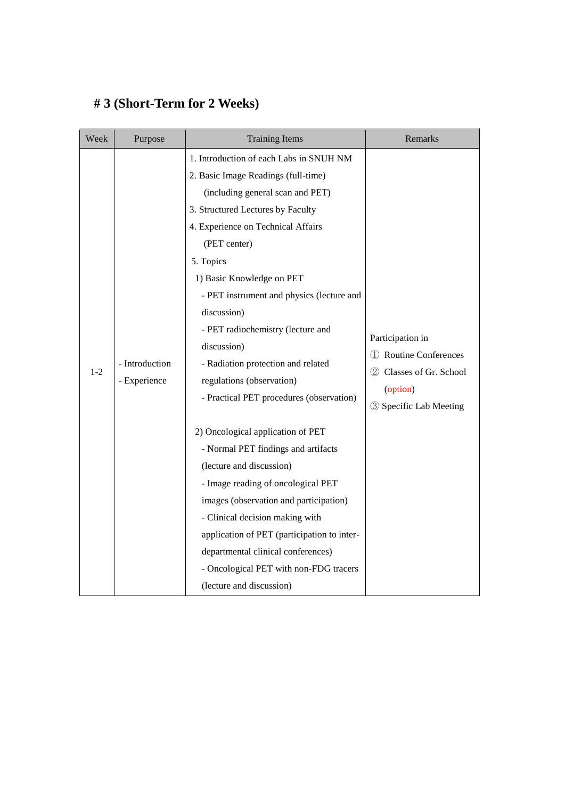## **# 3 (Short-Term for 2 Weeks)**

| Week  | Purpose                        | <b>Training Items</b>                                                                                                                                                                                                                                                                                                                                                                                                                                                                                                                                                                                                                                                                                                                                                                                                                                                        | Remarks                                                                                                                |
|-------|--------------------------------|------------------------------------------------------------------------------------------------------------------------------------------------------------------------------------------------------------------------------------------------------------------------------------------------------------------------------------------------------------------------------------------------------------------------------------------------------------------------------------------------------------------------------------------------------------------------------------------------------------------------------------------------------------------------------------------------------------------------------------------------------------------------------------------------------------------------------------------------------------------------------|------------------------------------------------------------------------------------------------------------------------|
| $1-2$ | - Introduction<br>- Experience | 1. Introduction of each Labs in SNUH NM<br>2. Basic Image Readings (full-time)<br>(including general scan and PET)<br>3. Structured Lectures by Faculty<br>4. Experience on Technical Affairs<br>(PET center)<br>5. Topics<br>1) Basic Knowledge on PET<br>- PET instrument and physics (lecture and<br>discussion)<br>- PET radiochemistry (lecture and<br>discussion)<br>- Radiation protection and related<br>regulations (observation)<br>- Practical PET procedures (observation)<br>2) Oncological application of PET<br>- Normal PET findings and artifacts<br>(lecture and discussion)<br>- Image reading of oncological PET<br>images (observation and participation)<br>- Clinical decision making with<br>application of PET (participation to inter-<br>departmental clinical conferences)<br>- Oncological PET with non-FDG tracers<br>(lecture and discussion) | Participation in<br>Routine Conferences<br>(1)<br>2 Classes of Gr. School<br>(option)<br><b>3</b> Specific Lab Meeting |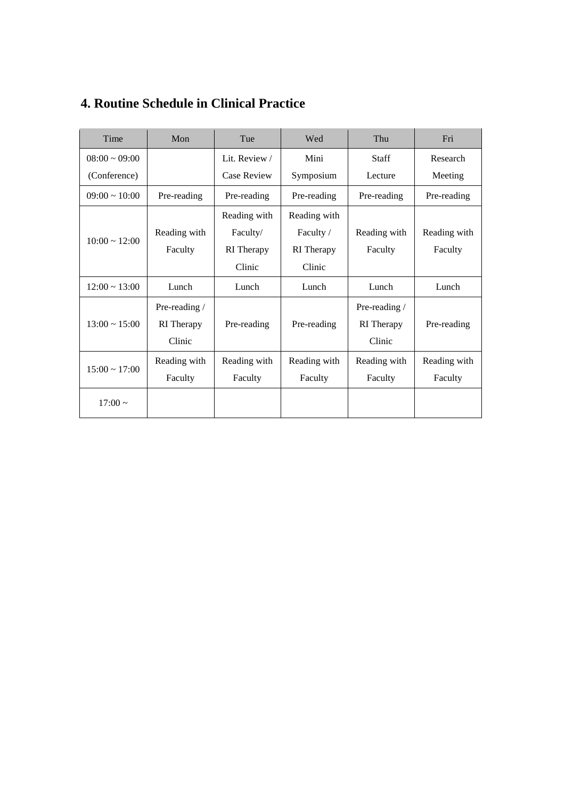| Time               | Mon               | Tue                | Wed          | Thu           | Fri          |
|--------------------|-------------------|--------------------|--------------|---------------|--------------|
| $08:00 \sim 09:00$ |                   | Lit. Review /      | Mini         | <b>Staff</b>  | Research     |
| (Conference)       |                   | <b>Case Review</b> | Symposium    | Lecture       | Meeting      |
| $09:00 \sim 10:00$ | Pre-reading       | Pre-reading        | Pre-reading  | Pre-reading   | Pre-reading  |
|                    |                   | Reading with       | Reading with |               |              |
| $10:00 \sim 12:00$ | Reading with      | Faculty/           | Faculty /    | Reading with  | Reading with |
|                    | Faculty           | RI Therapy         | RI Therapy   | Faculty       | Faculty      |
|                    |                   | Clinic             | Clinic       |               |              |
| $12:00 \sim 13:00$ | Lunch             | Lunch              | Lunch        | Lunch         | Lunch        |
|                    | Pre-reading /     |                    |              | Pre-reading / |              |
| $13:00 \sim 15:00$ | <b>RI</b> Therapy | Pre-reading        | Pre-reading  | RI Therapy    | Pre-reading  |
|                    | Clinic            |                    |              | Clinic        |              |
|                    | Reading with      | Reading with       | Reading with | Reading with  | Reading with |
| $15:00 \sim 17:00$ | Faculty           | Faculty            | Faculty      | Faculty       | Faculty      |
| $17:00 \sim$       |                   |                    |              |               |              |

## **4. Routine Schedule in Clinical Practice**